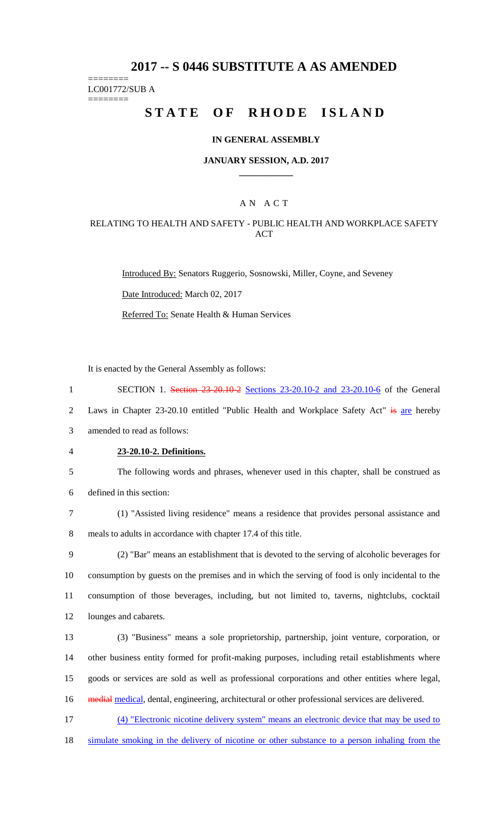# **2017 -- S 0446 SUBSTITUTE A AS AMENDED**

======== LC001772/SUB A

========

# **STATE OF RHODE ISLAND**

#### **IN GENERAL ASSEMBLY**

#### **JANUARY SESSION, A.D. 2017 \_\_\_\_\_\_\_\_\_\_\_\_**

## A N A C T

#### RELATING TO HEALTH AND SAFETY - PUBLIC HEALTH AND WORKPLACE SAFETY **ACT**

Introduced By: Senators Ruggerio, Sosnowski, Miller, Coyne, and Seveney

Date Introduced: March 02, 2017

Referred To: Senate Health & Human Services

It is enacted by the General Assembly as follows:

1 SECTION 1. Section 23-20.10-2 Sections 23-20.10-2 and 23-20.10-6 of the General

2 Laws in Chapter 23-20.10 entitled "Public Health and Workplace Safety Act" is are hereby

3 amended to read as follows:

4 **23-20.10-2. Definitions.**

5 The following words and phrases, whenever used in this chapter, shall be construed as

6 defined in this section:

7 (1) "Assisted living residence" means a residence that provides personal assistance and 8 meals to adults in accordance with chapter 17.4 of this title.

 (2) "Bar" means an establishment that is devoted to the serving of alcoholic beverages for consumption by guests on the premises and in which the serving of food is only incidental to the consumption of those beverages, including, but not limited to, taverns, nightclubs, cocktail lounges and cabarets.

 (3) "Business" means a sole proprietorship, partnership, joint venture, corporation, or other business entity formed for profit-making purposes, including retail establishments where goods or services are sold as well as professional corporations and other entities where legal, 16 medial medical, dental, engineering, architectural or other professional services are delivered.

17 (4) "Electronic nicotine delivery system" means an electronic device that may be used to

18 simulate smoking in the delivery of nicotine or other substance to a person inhaling from the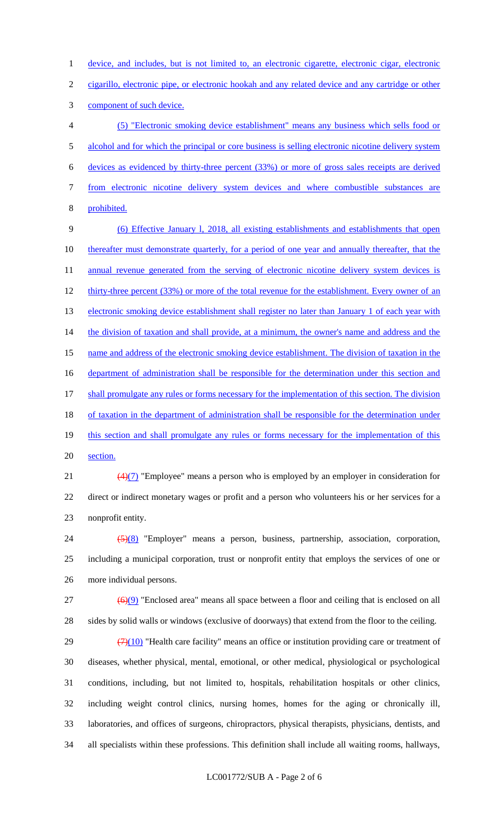1 device, and includes, but is not limited to, an electronic cigarette, electronic cigar, electronic

cigarillo, electronic pipe, or electronic hookah and any related device and any cartridge or other

component of such device.

 (5) "Electronic smoking device establishment" means any business which sells food or alcohol and for which the principal or core business is selling electronic nicotine delivery system devices as evidenced by thirty-three percent (33%) or more of gross sales receipts are derived from electronic nicotine delivery system devices and where combustible substances are prohibited.

 (6) Effective January l, 2018, all existing establishments and establishments that open thereafter must demonstrate quarterly, for a period of one year and annually thereafter, that the 11 annual revenue generated from the serving of electronic nicotine delivery system devices is 12 thirty-three percent (33%) or more of the total revenue for the establishment. Every owner of an 13 electronic smoking device establishment shall register no later than January 1 of each year with 14 the division of taxation and shall provide, at a minimum, the owner's name and address and the name and address of the electronic smoking device establishment. The division of taxation in the 16 department of administration shall be responsible for the determination under this section and 17 shall promulgate any rules or forms necessary for the implementation of this section. The division 18 of taxation in the department of administration shall be responsible for the determination under 19 this section and shall promulgate any rules or forms necessary for the implementation of this section.

21  $\left(4\right)\left(7\right)$  "Employee" means a person who is employed by an employer in consideration for direct or indirect monetary wages or profit and a person who volunteers his or her services for a nonprofit entity.

 (5)(8) "Employer" means a person, business, partnership, association, corporation, including a municipal corporation, trust or nonprofit entity that employs the services of one or more individual persons.

 ( $\Theta$ ) "Enclosed area" means all space between a floor and ceiling that is enclosed on all sides by solid walls or windows (exclusive of doorways) that extend from the floor to the ceiling.

 $(7)(10)$  "Health care facility" means an office or institution providing care or treatment of diseases, whether physical, mental, emotional, or other medical, physiological or psychological conditions, including, but not limited to, hospitals, rehabilitation hospitals or other clinics, including weight control clinics, nursing homes, homes for the aging or chronically ill, laboratories, and offices of surgeons, chiropractors, physical therapists, physicians, dentists, and all specialists within these professions. This definition shall include all waiting rooms, hallways,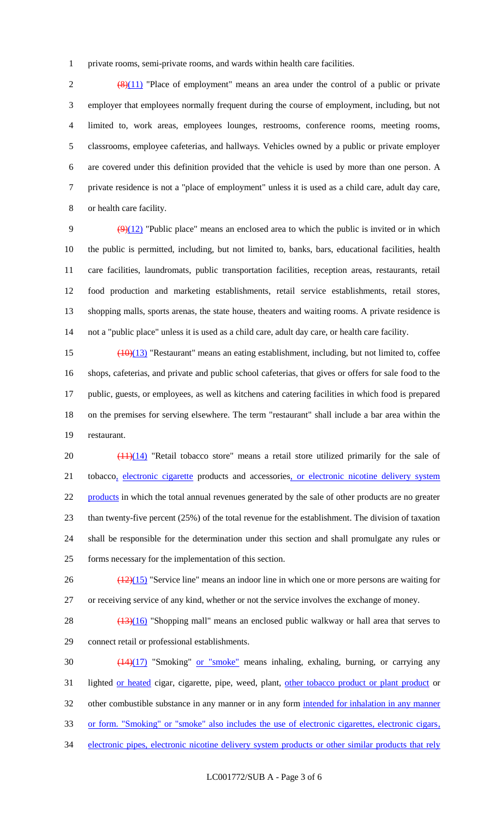private rooms, semi-private rooms, and wards within health care facilities.

 $\left(\frac{(8)(11)}{8}\right)$  "Place of employment" means an area under the control of a public or private employer that employees normally frequent during the course of employment, including, but not limited to, work areas, employees lounges, restrooms, conference rooms, meeting rooms, classrooms, employee cafeterias, and hallways. Vehicles owned by a public or private employer are covered under this definition provided that the vehicle is used by more than one person. A private residence is not a "place of employment" unless it is used as a child care, adult day care, or health care facility.

 $(9)(12)$  "Public place" means an enclosed area to which the public is invited or in which the public is permitted, including, but not limited to, banks, bars, educational facilities, health care facilities, laundromats, public transportation facilities, reception areas, restaurants, retail food production and marketing establishments, retail service establishments, retail stores, shopping malls, sports arenas, the state house, theaters and waiting rooms. A private residence is not a "public place" unless it is used as a child care, adult day care, or health care facility.

 $15 \left( \frac{10(13)}{13} \right)$  "Restaurant" means an eating establishment, including, but not limited to, coffee shops, cafeterias, and private and public school cafeterias, that gives or offers for sale food to the public, guests, or employees, as well as kitchens and catering facilities in which food is prepared on the premises for serving elsewhere. The term "restaurant" shall include a bar area within the restaurant.

 $\left(\frac{(11)(14)}{(11)(14)}\right)$  "Retail tobacco store" means a retail store utilized primarily for the sale of 21 tobacco, electronic cigarette products and accessories, or electronic nicotine delivery system 22 products in which the total annual revenues generated by the sale of other products are no greater than twenty-five percent (25%) of the total revenue for the establishment. The division of taxation shall be responsible for the determination under this section and shall promulgate any rules or forms necessary for the implementation of this section.

 $\frac{(12)(15)}{26}$  "Service line" means an indoor line in which one or more persons are waiting for or receiving service of any kind, whether or not the service involves the exchange of money.

28  $(13)(16)$  "Shopping mall" means an enclosed public walkway or hall area that serves to connect retail or professional establishments.

 (14)(17) "Smoking" or "smoke" means inhaling, exhaling, burning, or carrying any 31 lighted or heated cigar, cigarette, pipe, weed, plant, other tobacco product or plant product or 32 other combustible substance in any manner or in any form intended for inhalation in any manner or form. "Smoking" or "smoke" also includes the use of electronic cigarettes, electronic cigars, 34 electronic pipes, electronic nicotine delivery system products or other similar products that rely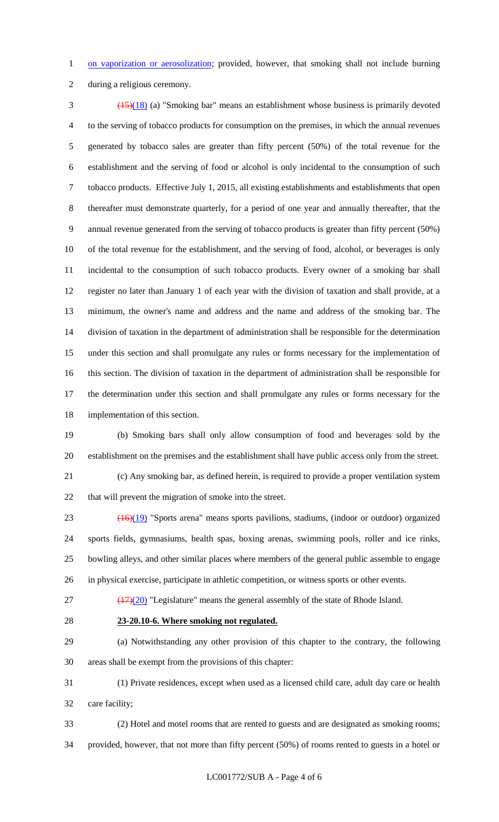1 on vaporization or aerosolization; provided, however, that smoking shall not include burning

during a religious ceremony.

 (15)(18) (a) "Smoking bar" means an establishment whose business is primarily devoted to the serving of tobacco products for consumption on the premises, in which the annual revenues generated by tobacco sales are greater than fifty percent (50%) of the total revenue for the establishment and the serving of food or alcohol is only incidental to the consumption of such tobacco products. Effective July 1, 2015, all existing establishments and establishments that open thereafter must demonstrate quarterly, for a period of one year and annually thereafter, that the annual revenue generated from the serving of tobacco products is greater than fifty percent (50%) of the total revenue for the establishment, and the serving of food, alcohol, or beverages is only incidental to the consumption of such tobacco products. Every owner of a smoking bar shall register no later than January 1 of each year with the division of taxation and shall provide, at a minimum, the owner's name and address and the name and address of the smoking bar. The division of taxation in the department of administration shall be responsible for the determination under this section and shall promulgate any rules or forms necessary for the implementation of this section. The division of taxation in the department of administration shall be responsible for the determination under this section and shall promulgate any rules or forms necessary for the implementation of this section.

 (b) Smoking bars shall only allow consumption of food and beverages sold by the establishment on the premises and the establishment shall have public access only from the street.

 (c) Any smoking bar, as defined herein, is required to provide a proper ventilation system that will prevent the migration of smoke into the street.

 (16)(19) "Sports arena" means sports pavilions, stadiums, (indoor or outdoor) organized sports fields, gymnasiums, health spas, boxing arenas, swimming pools, roller and ice rinks, bowling alleys, and other similar places where members of the general public assemble to engage in physical exercise, participate in athletic competition, or witness sports or other events.

(17)(20) "Legislature" means the general assembly of the state of Rhode Island.

## **23-20.10-6. Where smoking not regulated.**

 (a) Notwithstanding any other provision of this chapter to the contrary, the following areas shall be exempt from the provisions of this chapter:

 (1) Private residences, except when used as a licensed child care, adult day care or health care facility;

 (2) Hotel and motel rooms that are rented to guests and are designated as smoking rooms; provided, however, that not more than fifty percent (50%) of rooms rented to guests in a hotel or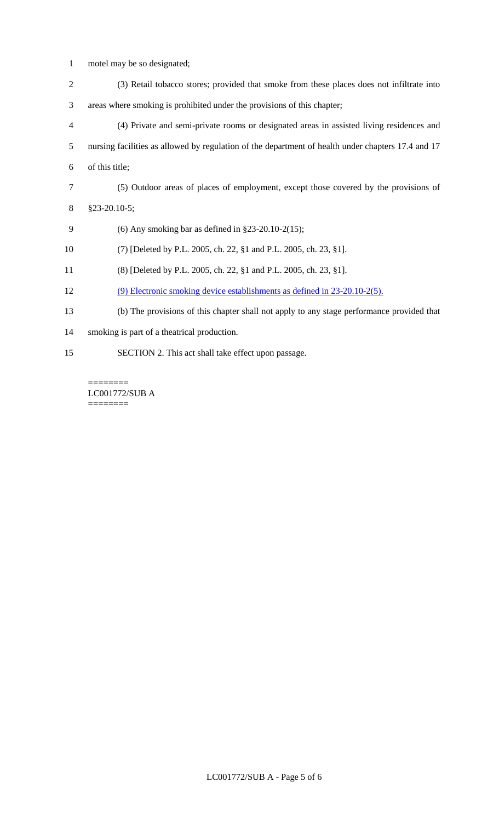- motel may be so designated;
- (3) Retail tobacco stores; provided that smoke from these places does not infiltrate into areas where smoking is prohibited under the provisions of this chapter;
- (4) Private and semi-private rooms or designated areas in assisted living residences and nursing facilities as allowed by regulation of the department of health under chapters 17.4 and 17 of this title;
- (5) Outdoor areas of places of employment, except those covered by the provisions of
- §23-20.10-5;
- (6) Any smoking bar as defined in §23-20.10-2(15);
- (7) [Deleted by P.L. 2005, ch. 22, §1 and P.L. 2005, ch. 23, §1].
- (8) [Deleted by P.L. 2005, ch. 22, §1 and P.L. 2005, ch. 23, §1].
- (9) Electronic smoking device establishments as defined in 23-20.10-2(5).
- (b) The provisions of this chapter shall not apply to any stage performance provided that
- smoking is part of a theatrical production.
- SECTION 2. This act shall take effect upon passage.

======== LC001772/SUB A ========